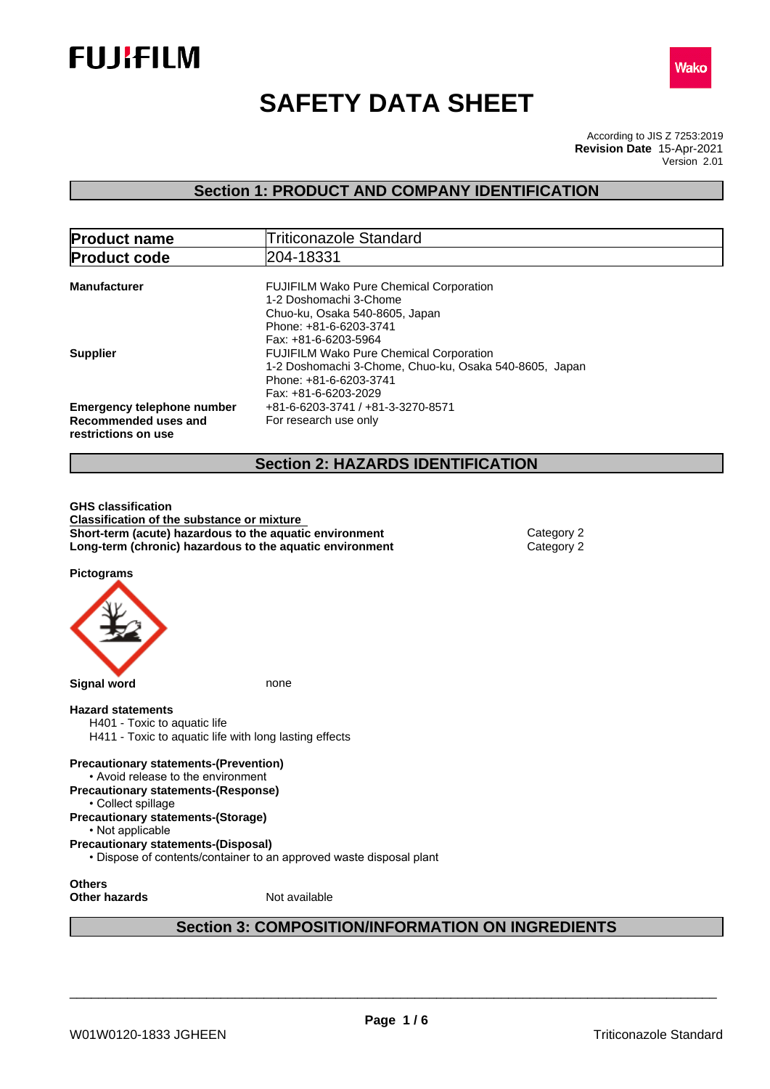



# **SAFETY DATA SHEET**

According to JIS Z 7253:2019 Version 2.01 **Revision Date** 15-Apr-2021

# **Section 1: PRODUCT AND COMPANY IDENTIFICATION**

| <b>Product name</b>                                                              | <b>Triticonazole Standard</b>                                                                                                                                |  |
|----------------------------------------------------------------------------------|--------------------------------------------------------------------------------------------------------------------------------------------------------------|--|
| <b>Product code</b>                                                              | 204-18331                                                                                                                                                    |  |
| <b>Manufacturer</b>                                                              | <b>FUJIFILM Wako Pure Chemical Corporation</b><br>1-2 Doshomachi 3-Chome<br>Chuo-ku, Osaka 540-8605, Japan<br>Phone: +81-6-6203-3741<br>Fax: +81-6-6203-5964 |  |
| <b>Supplier</b>                                                                  | <b>FUJIFILM Wako Pure Chemical Corporation</b><br>1-2 Doshomachi 3-Chome, Chuo-ku, Osaka 540-8605, Japan<br>Phone: +81-6-6203-3741<br>Fax: +81-6-6203-2029   |  |
| <b>Emergency telephone number</b><br>Recommended uses and<br>restrictions on use | +81-6-6203-3741 / +81-3-3270-8571<br>For research use only                                                                                                   |  |
| <b>Section 2: HAZARDS IDENTIFICATION</b>                                         |                                                                                                                                                              |  |

**GHS classification Classification of the substance or mixture Short-term (acute) hazardous to the aquatic environment** Category 2 **Long-term (chronic) hazardous to the aquatic environment** Category 2

**Pictograms**



**Section 3: COMPOSITION/INFORMATION ON INGREDIENTS**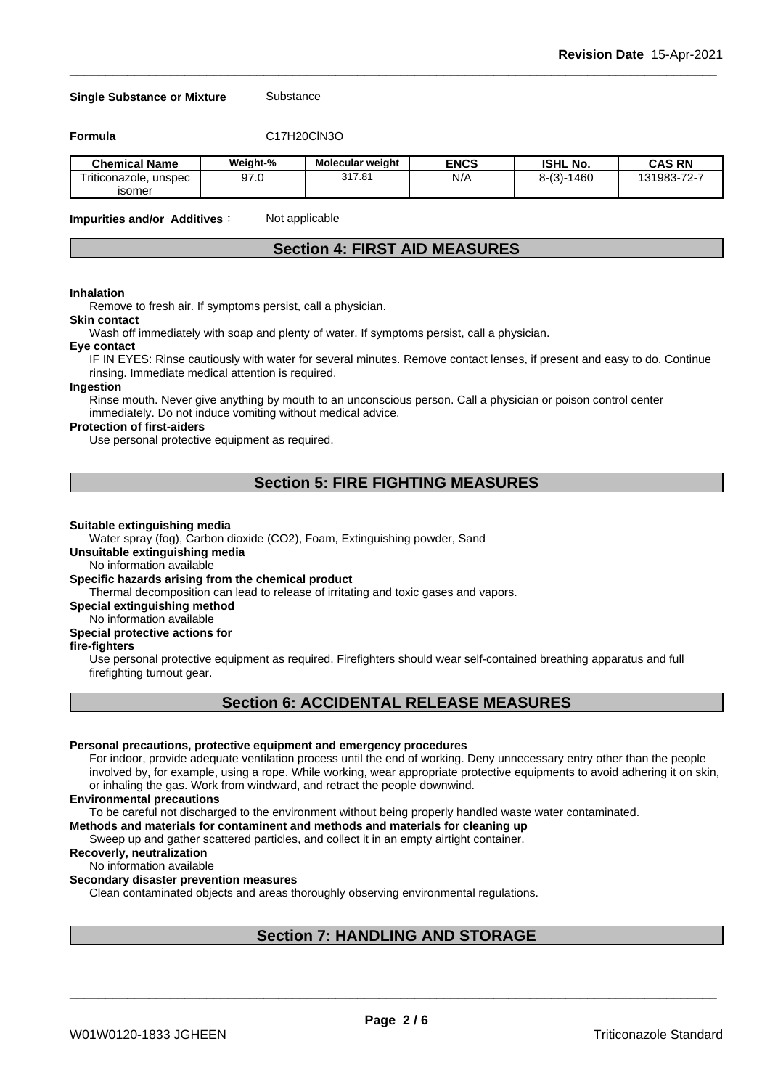#### **Single Substance or Mixture** Substance

**Formula** C17H20ClN3O

| <b>Chemical Name</b>     | Weight-%    | Molecular weight | <b>ENCS</b> | <b>ISHL No.</b>    | <b>CAS RN</b>       |
|--------------------------|-------------|------------------|-------------|--------------------|---------------------|
| Triticonazole.<br>unspec | 070<br>97.U | 317.81           | N/A         | $8-(3)$ -<br>-1460 | 131983-72-7<br>74 C |
| isomer                   |             |                  |             |                    |                     |

**Impurities and/or Additives**: Not applicable

# **Section 4: FIRST AID MEASURES**

#### **Inhalation**

Remove to fresh air. If symptoms persist, call a physician.

#### **Skin contact**

Wash off immediately with soap and plenty of water. If symptoms persist, call a physician.

#### **Eye contact**

IF IN EYES: Rinse cautiously with water for several minutes. Remove contact lenses, if present and easy to do. Continue rinsing. Immediate medical attention is required.

#### **Ingestion**

Rinse mouth. Never give anything by mouth to an unconscious person. Call a physician or poison control center immediately. Do not induce vomiting without medical advice.

#### **Protection of first-aiders**

Use personal protective equipment as required.

# **Section 5: FIRE FIGHTING MEASURES**

#### **Suitable extinguishing media**

Water spray (fog), Carbon dioxide (CO2), Foam, Extinguishing powder, Sand

**Unsuitable extinguishing media**

No information available

#### **Specific hazards arising from the chemical product**

Thermal decomposition can lead to release of irritating and toxic gases and vapors.

# **Special extinguishing method**

No information available

# **Special protective actions for**

**fire-fighters**

Use personal protective equipment as required.Firefighters should wear self-contained breathing apparatus and full firefighting turnout gear.

# **Section 6: ACCIDENTAL RELEASE MEASURES**

#### **Personal precautions, protective equipment and emergency procedures**

For indoor, provide adequate ventilation process until the end of working. Deny unnecessary entry other than the people involved by, for example, using a rope. While working, wear appropriate protective equipments to avoid adhering it on skin, or inhaling the gas. Work from windward, and retract the people downwind.

#### **Environmental precautions**

To be careful not discharged to the environment without being properly handled waste water contaminated.

#### **Methods and materials for contaminent and methods and materials for cleaning up**

Sweep up and gather scattered particles, and collect it in an empty airtight container.

#### **Recoverly, neutralization**

No information available

#### **Secondary disaster prevention measures**

Clean contaminated objects and areas thoroughly observing environmental regulations.

# **Section 7: HANDLING AND STORAGE**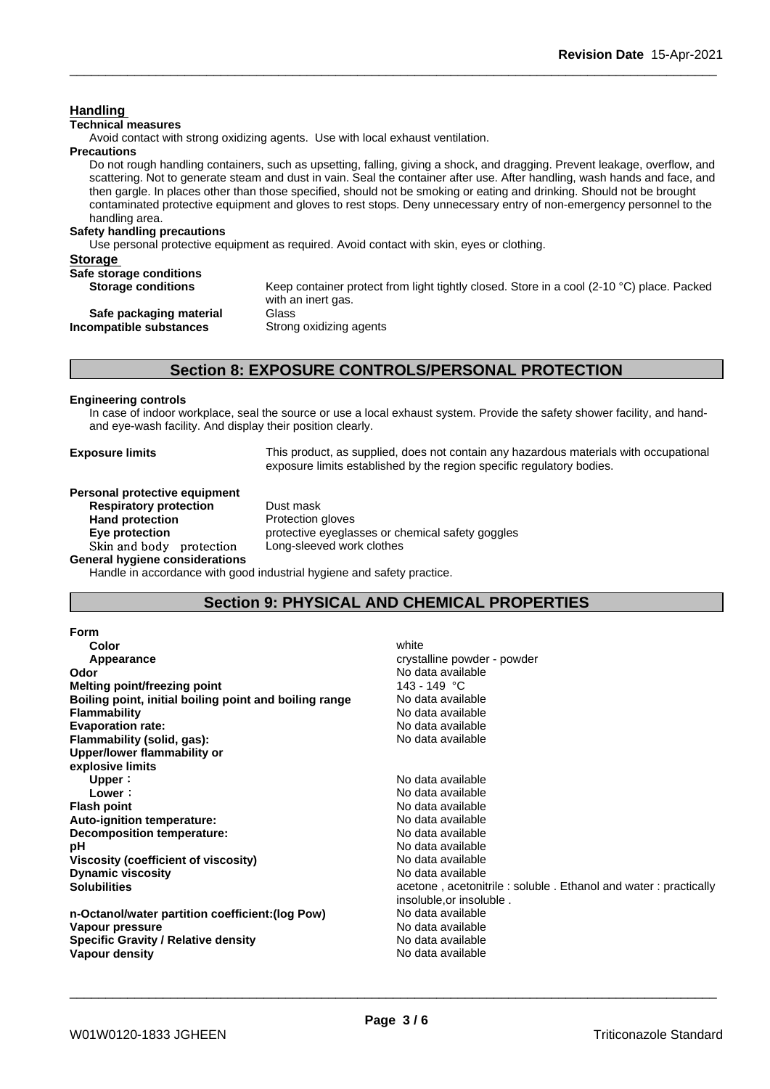### **Handling**

### **Technical measures**

Avoid contact with strong oxidizing agents. Use with local exhaust ventilation.

#### **Precautions**

Do not rough handling containers, such as upsetting, falling, giving a shock, and dragging. Prevent leakage, overflow, and scattering. Not to generate steam and dust in vain. Seal the container after use. After handling, wash hands and face, and then gargle. In places other than those specified, should not be smoking or eating and drinking. Should not be brought contaminated protective equipment and gloves to rest stops. Deny unnecessary entry of non-emergency personnel to the handling area.

#### **Safety handling precautions**

Use personal protective equipment as required. Avoid contact with skin, eyes or clothing.

| <b>Storage</b> |  |
|----------------|--|
|                |  |

| Safe storage conditions   |                                                                                                     |
|---------------------------|-----------------------------------------------------------------------------------------------------|
| <b>Storage conditions</b> | Keep container protect from light tightly closed. Store in a cool (2-10 $^{\circ}$ C) place. Packed |
|                           | with an inert gas.                                                                                  |
| Safe packaging material   | Glass                                                                                               |
| Incompatible substances   | Strong oxidizing agents                                                                             |

# **Section 8: EXPOSURE CONTROLS/PERSONAL PROTECTION**

#### **Engineering controls**

In case of indoor workplace, seal the source or use a local exhaust system. Provide the safety shower facility, and handand eye-wash facility. And display their position clearly.

**Exposure limits** This product, as supplied, does not contain any hazardous materials with occupational exposure limits established by the region specific regulatory bodies.

# **Personal protective equipment**<br>**Respiratory protection** Dust mask

**Respiratory** protection **Hand protection** Protection gloves **Skinandbody protection** Long-sleeved work clothes **General hygiene considerations**

**Eye protection Eye protective eyeglasses or chemical safety goggles** 

Handle in accordance with good industrial hygiene and safety practice.

# **Section 9: PHYSICAL AND CHEMICAL PROPERTIES**

| Form                                                   |                                                                |
|--------------------------------------------------------|----------------------------------------------------------------|
| Color                                                  | white                                                          |
| Appearance                                             | crystalline powder - powder                                    |
| Odor                                                   | No data available                                              |
| <b>Melting point/freezing point</b>                    | 143 - 149 °C                                                   |
| Boiling point, initial boiling point and boiling range | No data available                                              |
| <b>Flammability</b>                                    | No data available                                              |
| <b>Evaporation rate:</b>                               | No data available                                              |
| Flammability (solid, gas):                             | No data available                                              |
| Upper/lower flammability or                            |                                                                |
| explosive limits                                       |                                                                |
| Upper:                                                 | No data available                                              |
| Lower:                                                 | No data available                                              |
| <b>Flash point</b>                                     | No data available                                              |
| Auto-ignition temperature:                             | No data available                                              |
| Decomposition temperature:                             | No data available                                              |
| рH                                                     | No data available                                              |
| Viscosity (coefficient of viscosity)                   | No data available                                              |
| <b>Dynamic viscosity</b>                               | No data available                                              |
| <b>Solubilities</b>                                    | acetone, acetonitrile: soluble. Ethanol and water: practically |
|                                                        | insoluble, or insoluble.                                       |
| n-Octanol/water partition coefficient: (log Pow)       | No data available                                              |
| Vapour pressure                                        | No data available                                              |
| <b>Specific Gravity / Relative density</b>             | No data available                                              |
| Vapour density                                         | No data available                                              |
|                                                        |                                                                |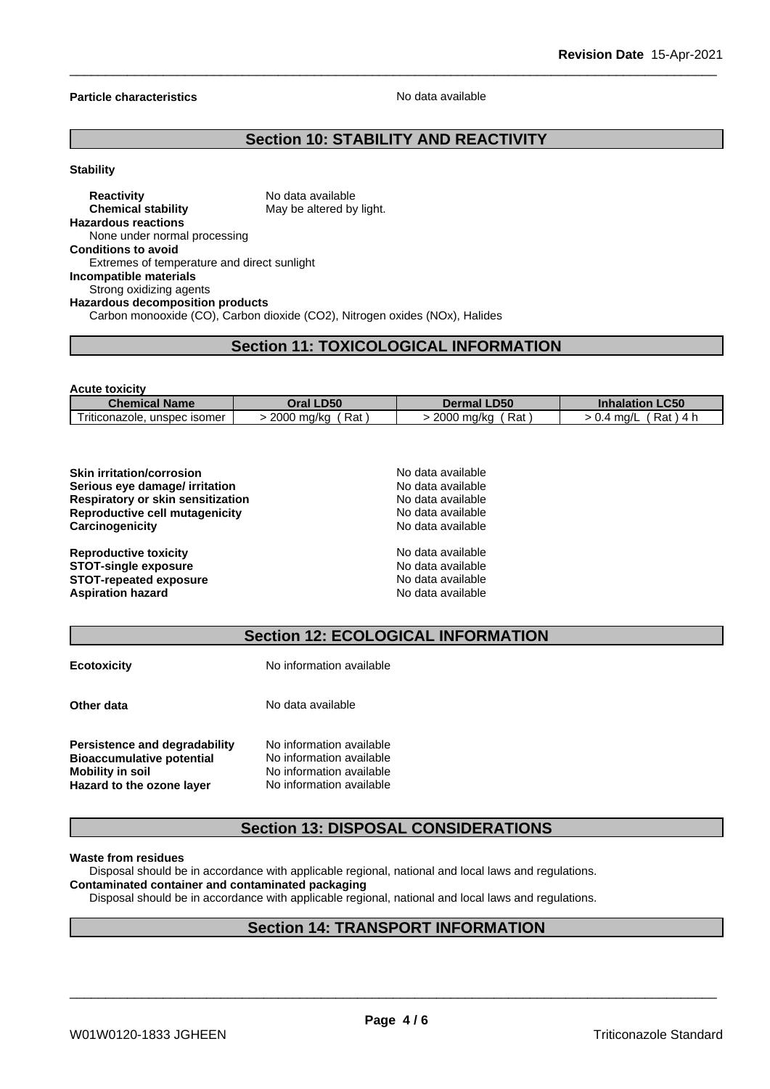#### **Particle characteristics** No data available

# **Section 10: STABILITY AND REACTIVITY**

#### **Stability**

### **Reactivity** No data available **Chemical stability** May be altered by light. **Hazardous reactions** None under normal processing **Conditions to avoid** Extremes of temperature and direct sunlight **Incompatible materials** Strong oxidizing agents **Hazardous decomposition products** Carbon monooxide (CO), Carbon dioxide (CO2), Nitrogen oxides (NOx), Halides

# **Section 11: TOXICOLOGICAL INFORMATION**

| <b>Acute toxicity</b>        |                     |                    |                            |
|------------------------------|---------------------|--------------------|----------------------------|
| <b>Chemical Name</b>         | Oral LD50           | <b>Dermal LD50</b> | <b>Inhalation LC50</b>     |
| Triticonazole, unspec isomer | ˈ Rat<br>2000 mg/kg | Rat<br>2000 mg/kg  | Rat<br>. 4 h<br>> 0.4 ma/L |

| <b>Skin irritation/corrosion</b>         | No data available |  |
|------------------------------------------|-------------------|--|
| Serious eye damage/ irritation           | No data available |  |
| <b>Respiratory or skin sensitization</b> | No data available |  |
| Reproductive cell mutagenicity           | No data available |  |
| Carcinogenicity                          | No data available |  |
| <b>Reproductive toxicity</b>             | No data available |  |
| <b>STOT-single exposure</b>              | No data available |  |
| <b>STOT-repeated exposure</b>            | No data available |  |
| <b>Aspiration hazard</b>                 | No data available |  |

| <b>Section 12: ECOLOGICAL INFORMATION</b> |
|-------------------------------------------|
|-------------------------------------------|

| <b>Ecotoxicity</b>                                                                                                 | No information available                                                                                     |
|--------------------------------------------------------------------------------------------------------------------|--------------------------------------------------------------------------------------------------------------|
| Other data                                                                                                         | No data available                                                                                            |
| Persistence and degradability<br><b>Bioaccumulative potential</b><br>Mobility in soil<br>Hazard to the ozone layer | No information available<br>No information available<br>No information available<br>No information available |

# **Section 13: DISPOSAL CONSIDERATIONS**

#### **Waste from residues**

Disposal should be in accordance with applicable regional, national and local laws and regulations. **Contaminated container and contaminated packaging**

Disposal should be in accordance with applicable regional, national and local laws and regulations.

# **Section 14: TRANSPORT INFORMATION**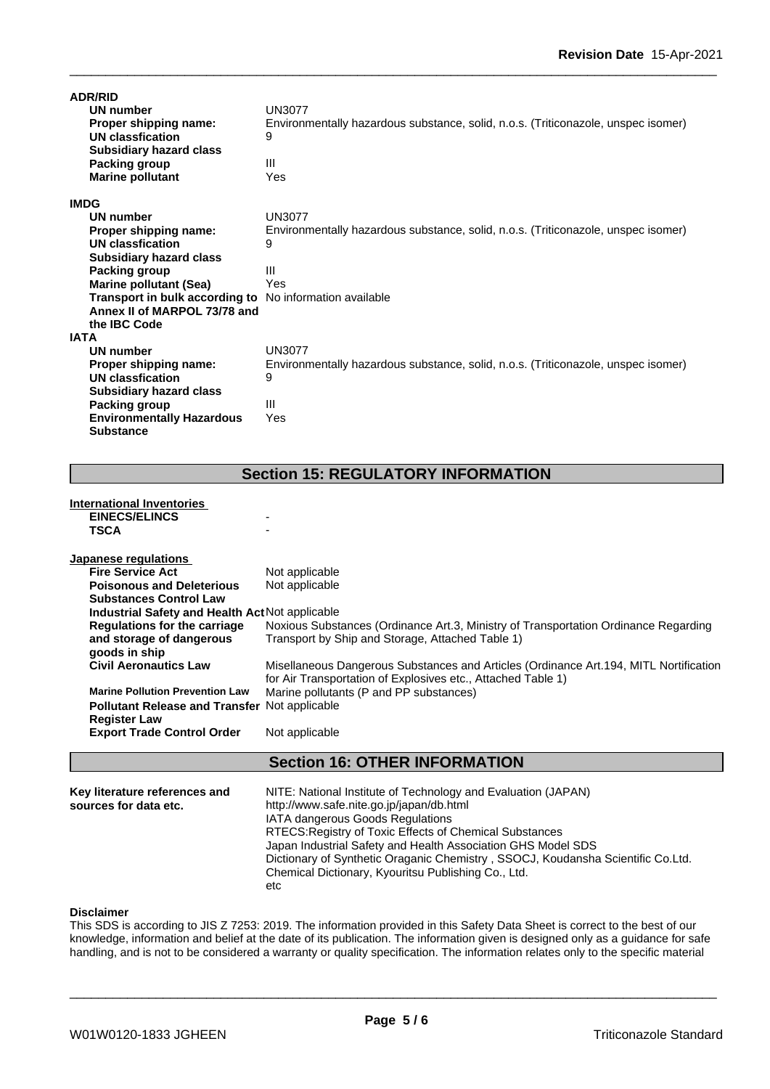| <b>ADR/RID</b>                                                 |                                                                                   |
|----------------------------------------------------------------|-----------------------------------------------------------------------------------|
| UN number                                                      | <b>UN3077</b>                                                                     |
| Proper shipping name:                                          | Environmentally hazardous substance, solid, n.o.s. (Triticonazole, unspec isomer) |
| UN classfication                                               | 9                                                                                 |
| <b>Subsidiary hazard class</b>                                 |                                                                                   |
| Packing group                                                  | Ш                                                                                 |
| <b>Marine pollutant</b>                                        | Yes                                                                               |
| <b>IMDG</b>                                                    |                                                                                   |
| UN number                                                      | <b>UN3077</b>                                                                     |
| Proper shipping name:                                          | Environmentally hazardous substance, solid, n.o.s. (Triticonazole, unspec isomer) |
| UN classfication                                               | 9                                                                                 |
| <b>Subsidiary hazard class</b>                                 |                                                                                   |
| <b>Packing group</b>                                           | Ш                                                                                 |
| <b>Marine pollutant (Sea)</b>                                  | Yes                                                                               |
| <b>Transport in bulk according to</b> No information available |                                                                                   |
| Annex II of MARPOL 73/78 and                                   |                                                                                   |
| the <b>IBC</b> Code                                            |                                                                                   |
| <b>IATA</b>                                                    |                                                                                   |
| UN number                                                      | <b>UN3077</b>                                                                     |
| Proper shipping name:                                          | Environmentally hazardous substance, solid, n.o.s. (Triticonazole, unspec isomer) |
| UN classfication                                               | 9                                                                                 |
| <b>Subsidiary hazard class</b>                                 |                                                                                   |
| <b>Packing group</b>                                           | $\mathbf{III}$                                                                    |
| <b>Environmentally Hazardous</b>                               | Yes                                                                               |
| <b>Substance</b>                                               |                                                                                   |

# **Section 15: REGULATORY INFORMATION**

#### **International Inventories EINECS/ELINCS** - **TSCA** -

| <b>Export Trade Control Order</b>               | Not applicable                                                                                          |
|-------------------------------------------------|---------------------------------------------------------------------------------------------------------|
| <b>Register Law</b>                             |                                                                                                         |
| Pollutant Release and Transfer Not applicable   |                                                                                                         |
| <b>Marine Pollution Prevention Law</b>          | for Air Transportation of Explosives etc., Attached Table 1)<br>Marine pollutants (P and PP substances) |
| goods in ship<br><b>Civil Aeronautics Law</b>   | Misellaneous Dangerous Substances and Articles (Ordinance Art. 194, MITL Nortification                  |
| and storage of dangerous                        | Transport by Ship and Storage, Attached Table 1)                                                        |
| Regulations for the carriage                    | Noxious Substances (Ordinance Art.3, Ministry of Transportation Ordinance Regarding                     |
| Industrial Safety and Health Act Not applicable |                                                                                                         |
| <b>Substances Control Law</b>                   |                                                                                                         |
| <b>Poisonous and Deleterious</b>                | Not applicable                                                                                          |
| <b>Fire Service Act</b>                         | Not applicable                                                                                          |

### **Section 16: OTHER INFORMATION**

| Key literature references and<br>sources for data etc. | NITE: National Institute of Technology and Evaluation (JAPAN)<br>http://www.safe.nite.go.jp/japan/db.html<br><b>IATA dangerous Goods Regulations</b><br>RTECS: Registry of Toxic Effects of Chemical Substances<br>Japan Industrial Safety and Health Association GHS Model SDS<br>Dictionary of Synthetic Oraganic Chemistry, SSOCJ, Koudansha Scientific Co.Ltd.<br>Chemical Dictionary, Kyouritsu Publishing Co., Ltd.<br>etc |  |
|--------------------------------------------------------|----------------------------------------------------------------------------------------------------------------------------------------------------------------------------------------------------------------------------------------------------------------------------------------------------------------------------------------------------------------------------------------------------------------------------------|--|
|--------------------------------------------------------|----------------------------------------------------------------------------------------------------------------------------------------------------------------------------------------------------------------------------------------------------------------------------------------------------------------------------------------------------------------------------------------------------------------------------------|--|

# **Disclaimer**

This SDS is according to JIS Z 7253: 2019. The information provided in this Safety Data Sheet is correct to the best of our knowledge, information and belief at the date of its publication. The information given is designed only as a guidance for safe handling, and is not to be considered a warranty or quality specification. The information relates only to the specific material